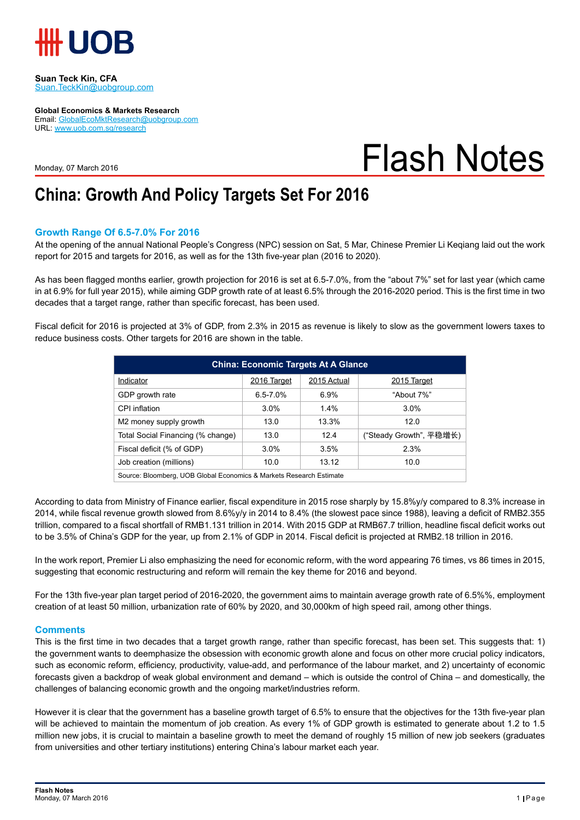

**Suan Teck Kin, CFA** Suan.TeckKin@uobgroup.com

**Global Economics & Markets Research** Email: GlobalEcoMktResearch@uobgroup.com URL: www.uob.com.sg/research

Monday, 07 March 2016

# Flash Notes

### **China: Growth And Policy Targets Set For 2016**

### **Growth Range Of 6.5-7.0% For 2016**

At the opening of the annual National People's Congress (NPC) session on Sat, 5 Mar, Chinese Premier Li Keqiang laid out the work report for 2015 and targets for 2016, as well as for the 13th five-year plan (2016 to 2020).

As has been flagged months earlier, growth projection for 2016 is set at 6.5-7.0%, from the "about 7%" set for last year (which came in at 6.9% for full year 2015), while aiming GDP growth rate of at least 6.5% through the 2016-2020 period. This is the first time in two decades that a target range, rather than specific forecast, has been used.

Fiscal deficit for 2016 is projected at 3% of GDP, from 2.3% in 2015 as revenue is likely to slow as the government lowers taxes to reduce business costs. Other targets for 2016 are shown in the table.

| <b>China: Economic Targets At A Glance</b>                          |              |             |                         |  |  |  |
|---------------------------------------------------------------------|--------------|-------------|-------------------------|--|--|--|
| Indicator                                                           | 2016 Target  | 2015 Actual | 2015 Target             |  |  |  |
| GDP growth rate                                                     | $6.5 - 7.0%$ | 6.9%        | "About 7%"              |  |  |  |
| CPI inflation                                                       | 3.0%         | 1.4%        | 3.0%                    |  |  |  |
| M2 money supply growth                                              | 13.0         | 13.3%       | 12.0                    |  |  |  |
| Total Social Financing (% change)                                   | 13.0         | 124         | ("Steady Growth", 平稳增长) |  |  |  |
| Fiscal deficit (% of GDP)                                           | $3.0\%$      | 3.5%        | 2.3%                    |  |  |  |
| Job creation (millions)                                             | 10.0         | 13.12       | 10.0                    |  |  |  |
| Source: Bloomberg, UOB Global Economics & Markets Research Estimate |              |             |                         |  |  |  |

According to data from Ministry of Finance earlier, fiscal expenditure in 2015 rose sharply by 15.8%y/y compared to 8.3% increase in 2014, while fiscal revenue growth slowed from 8.6%y/y in 2014 to 8.4% (the slowest pace since 1988), leaving a deficit of RMB2.355 trillion, compared to a fiscal shortfall of RMB1.131 trillion in 2014. With 2015 GDP at RMB67.7 trillion, headline fiscal deficit works out to be 3.5% of China's GDP for the year, up from 2.1% of GDP in 2014. Fiscal deficit is projected at RMB2.18 trillion in 2016.

In the work report, Premier Li also emphasizing the need for economic reform, with the word appearing 76 times, vs 86 times in 2015, suggesting that economic restructuring and reform will remain the key theme for 2016 and beyond.

For the 13th five-year plan target period of 2016-2020, the government aims to maintain average growth rate of 6.5%%, employment creation of at least 50 million, urbanization rate of 60% by 2020, and 30,000km of high speed rail, among other things.

#### **Comments**

This is the first time in two decades that a target growth range, rather than specific forecast, has been set. This suggests that: 1) the government wants to deemphasize the obsession with economic growth alone and focus on other more crucial policy indicators, such as economic reform, efficiency, productivity, value-add, and performance of the labour market, and 2) uncertainty of economic forecasts given a backdrop of weak global environment and demand – which is outside the control of China – and domestically, the challenges of balancing economic growth and the ongoing market/industries reform.

However it is clear that the government has a baseline growth target of 6.5% to ensure that the objectives for the 13th five-year plan will be achieved to maintain the momentum of job creation. As every 1% of GDP growth is estimated to generate about 1.2 to 1.5 million new jobs, it is crucial to maintain a baseline growth to meet the demand of roughly 15 million of new job seekers (graduates from universities and other tertiary institutions) entering China's labour market each year.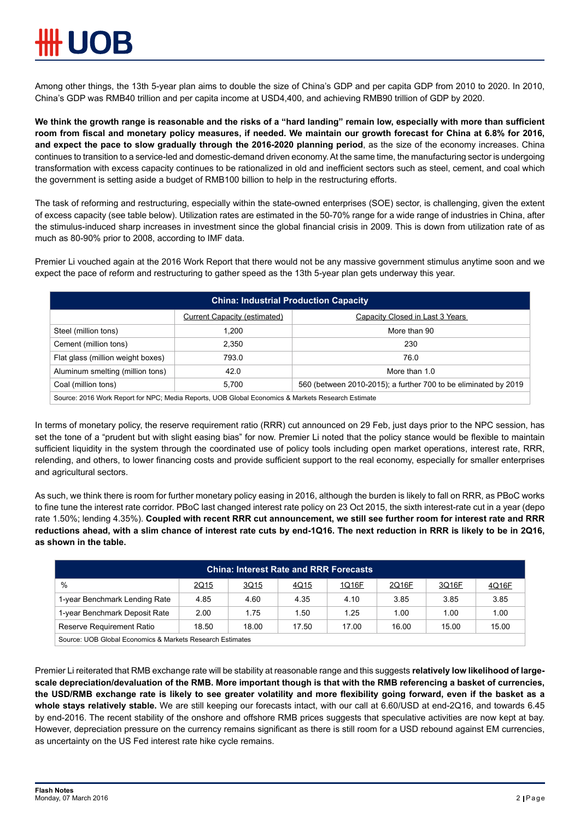Among other things, the 13th 5-year plan aims to double the size of China's GDP and per capita GDP from 2010 to 2020. In 2010, China's GDP was RMB40 trillion and per capita income at USD4,400, and achieving RMB90 trillion of GDP by 2020.

**We think the growth range is reasonable and the risks of a "hard landing" remain low, especially with more than sufficient room from fiscal and monetary policy measures, if needed. We maintain our growth forecast for China at 6.8% for 2016, and expect the pace to slow gradually through the 2016-2020 planning period**, as the size of the economy increases. China continues to transition to a service-led and domestic-demand driven economy. At the same time, the manufacturing sector is undergoing transformation with excess capacity continues to be rationalized in old and inefficient sectors such as steel, cement, and coal which the government is setting aside a budget of RMB100 billion to help in the restructuring efforts.

The task of reforming and restructuring, especially within the state-owned enterprises (SOE) sector, is challenging, given the extent of excess capacity (see table below). Utilization rates are estimated in the 50-70% range for a wide range of industries in China, after the stimulus-induced sharp increases in investment since the global financial crisis in 2009. This is down from utilization rate of as much as 80-90% prior to 2008, according to IMF data.

Premier Li vouched again at the 2016 Work Report that there would not be any massive government stimulus anytime soon and we expect the pace of reform and restructuring to gather speed as the 13th 5-year plan gets underway this year.

| <b>China: Industrial Production Capacity</b>                                                      |                                     |                                                                 |  |  |  |
|---------------------------------------------------------------------------------------------------|-------------------------------------|-----------------------------------------------------------------|--|--|--|
|                                                                                                   | <b>Current Capacity (estimated)</b> | Capacity Closed in Last 3 Years                                 |  |  |  |
| Steel (million tons)                                                                              | 1.200                               | More than 90                                                    |  |  |  |
| Cement (million tons)                                                                             | 2.350                               | 230                                                             |  |  |  |
| Flat glass (million weight boxes)                                                                 | 793.0                               | 76.0                                                            |  |  |  |
| Aluminum smelting (million tons)                                                                  | 42.0                                | More than 1.0                                                   |  |  |  |
| Coal (million tons)                                                                               | 5.700                               | 560 (between 2010-2015); a further 700 to be eliminated by 2019 |  |  |  |
| Source: 2016 Work Report for NPC; Media Reports, UOB Global Economics & Markets Research Estimate |                                     |                                                                 |  |  |  |

In terms of monetary policy, the reserve requirement ratio (RRR) cut announced on 29 Feb, just days prior to the NPC session, has set the tone of a "prudent but with slight easing bias" for now. Premier Li noted that the policy stance would be flexible to maintain sufficient liquidity in the system through the coordinated use of policy tools including open market operations, interest rate, RRR, relending, and others, to lower financing costs and provide sufficient support to the real economy, especially for smaller enterprises and agricultural sectors.

As such, we think there is room for further monetary policy easing in 2016, although the burden is likely to fall on RRR, as PBoC works to fine tune the interest rate corridor. PBoC last changed interest rate policy on 23 Oct 2015, the sixth interest-rate cut in a year (depo rate 1.50%; lending 4.35%). **Coupled with recent RRR cut announcement, we still see further room for interest rate and RRR reductions ahead, with a slim chance of interest rate cuts by end-1Q16. The next reduction in RRR is likely to be in 2Q16, as shown in the table.** 

| <b>China: Interest Rate and RRR Forecasts</b>             |       |       |       |       |       |       |       |
|-----------------------------------------------------------|-------|-------|-------|-------|-------|-------|-------|
| $\%$                                                      | 2Q15  | 3Q15  | 4Q15  | 1Q16F | 2Q16F | 3Q16F | 4Q16F |
| 1-year Benchmark Lending Rate                             | 4.85  | 4.60  | 4.35  | 4.10  | 3.85  | 3.85  | 3.85  |
| 1-year Benchmark Deposit Rate                             | 2.00  | 1.75  | 1.50  | 1.25  | 1.00  | 1.00  | 1.00  |
| Reserve Requirement Ratio                                 | 18.50 | 18.00 | 17.50 | 17.00 | 16.00 | 15.00 | 15.00 |
| Source: UOB Global Economics & Markets Research Estimates |       |       |       |       |       |       |       |

Premier Li reiterated that RMB exchange rate will be stability at reasonable range and this suggests **relatively low likelihood of largescale depreciation/devaluation of the RMB. More important though is that with the RMB referencing a basket of currencies, the USD/RMB exchange rate is likely to see greater volatility and more flexibility going forward, even if the basket as a whole stays relatively stable.** We are still keeping our forecasts intact, with our call at 6.60/USD at end-2Q16, and towards 6.45 by end-2016. The recent stability of the onshore and offshore RMB prices suggests that speculative activities are now kept at bay. However, depreciation pressure on the currency remains significant as there is still room for a USD rebound against EM currencies, as uncertainty on the US Fed interest rate hike cycle remains.